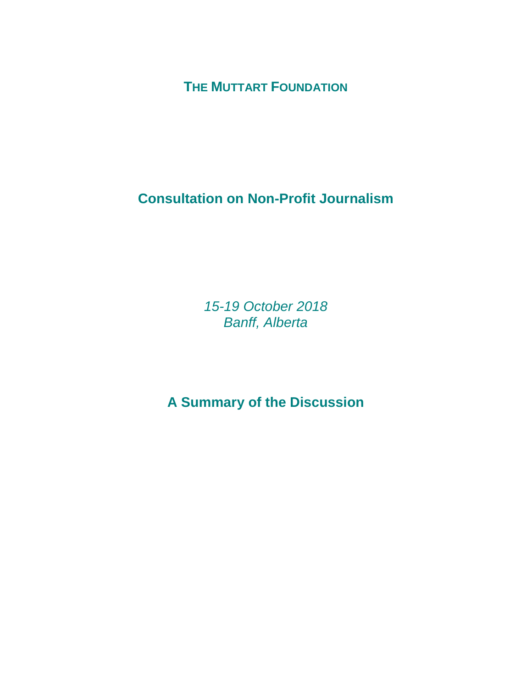**THE MUTTART FOUNDATION**

**Consultation on Non-Profit Journalism**

*15-19 October 2018 Banff, Alberta*

**A Summary of the Discussion**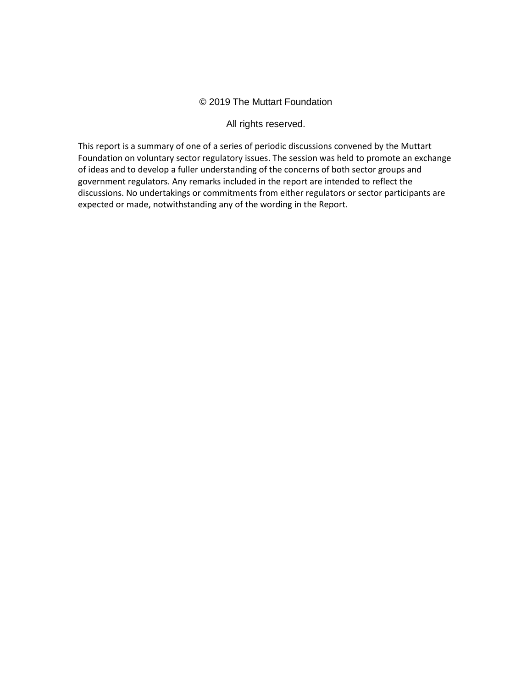### © 2019 The Muttart Foundation

#### All rights reserved.

This report is a summary of one of a series of periodic discussions convened by the Muttart Foundation on voluntary sector regulatory issues. The session was held to promote an exchange of ideas and to develop a fuller understanding of the concerns of both sector groups and government regulators. Any remarks included in the report are intended to reflect the discussions. No undertakings or commitments from either regulators or sector participants are expected or made, notwithstanding any of the wording in the Report.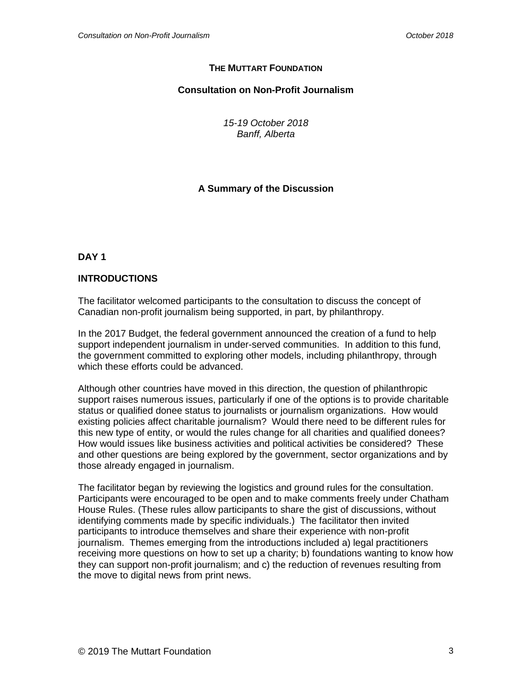## **THE MUTTART FOUNDATION**

## **Consultation on Non-Profit Journalism**

*15-19 October 2018 Banff, Alberta*

# **A Summary of the Discussion**

**DAY 1**

## **INTRODUCTIONS**

The facilitator welcomed participants to the consultation to discuss the concept of Canadian non-profit journalism being supported, in part, by philanthropy.

In the 2017 Budget, the federal government announced the creation of a fund to help support independent journalism in under-served communities. In addition to this fund, the government committed to exploring other models, including philanthropy, through which these efforts could be advanced.

Although other countries have moved in this direction, the question of philanthropic support raises numerous issues, particularly if one of the options is to provide charitable status or qualified donee status to journalists or journalism organizations. How would existing policies affect charitable journalism? Would there need to be different rules for this new type of entity, or would the rules change for all charities and qualified donees? How would issues like business activities and political activities be considered? These and other questions are being explored by the government, sector organizations and by those already engaged in journalism.

The facilitator began by reviewing the logistics and ground rules for the consultation. Participants were encouraged to be open and to make comments freely under Chatham House Rules. (These rules allow participants to share the gist of discussions, without identifying comments made by specific individuals.) The facilitator then invited participants to introduce themselves and share their experience with non-profit journalism. Themes emerging from the introductions included a) legal practitioners receiving more questions on how to set up a charity; b) foundations wanting to know how they can support non-profit journalism; and c) the reduction of revenues resulting from the move to digital news from print news.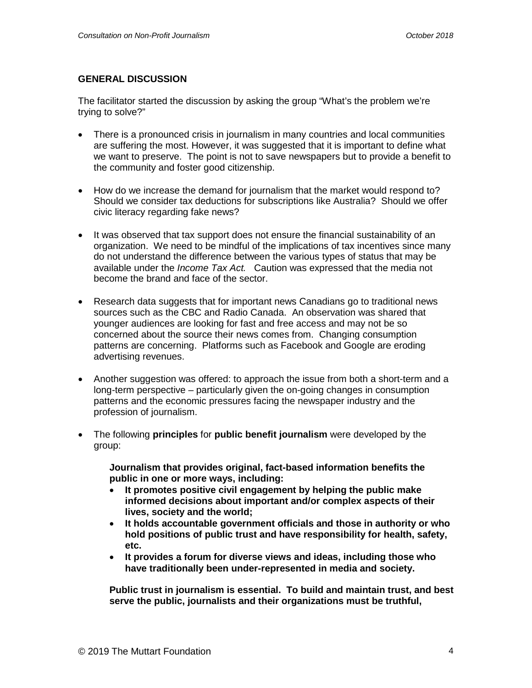### **GENERAL DISCUSSION**

The facilitator started the discussion by asking the group "What's the problem we're trying to solve?"

- There is a pronounced crisis in journalism in many countries and local communities are suffering the most. However, it was suggested that it is important to define what we want to preserve. The point is not to save newspapers but to provide a benefit to the community and foster good citizenship.
- How do we increase the demand for journalism that the market would respond to? Should we consider tax deductions for subscriptions like Australia? Should we offer civic literacy regarding fake news?
- It was observed that tax support does not ensure the financial sustainability of an organization. We need to be mindful of the implications of tax incentives since many do not understand the difference between the various types of status that may be available under the *Income Tax Act.* Caution was expressed that the media not become the brand and face of the sector.
- Research data suggests that for important news Canadians go to traditional news sources such as the CBC and Radio Canada. An observation was shared that younger audiences are looking for fast and free access and may not be so concerned about the source their news comes from. Changing consumption patterns are concerning. Platforms such as Facebook and Google are eroding advertising revenues.
- Another suggestion was offered: to approach the issue from both a short-term and a long-term perspective – particularly given the on-going changes in consumption patterns and the economic pressures facing the newspaper industry and the profession of journalism.
- The following **principles** for **public benefit journalism** were developed by the group:

**Journalism that provides original, fact-based information benefits the public in one or more ways, including:**

- **It promotes positive civil engagement by helping the public make informed decisions about important and/or complex aspects of their lives, society and the world;**
- **It holds accountable government officials and those in authority or who hold positions of public trust and have responsibility for health, safety, etc.**
- **It provides a forum for diverse views and ideas, including those who have traditionally been under-represented in media and society.**

**Public trust in journalism is essential. To build and maintain trust, and best serve the public, journalists and their organizations must be truthful,**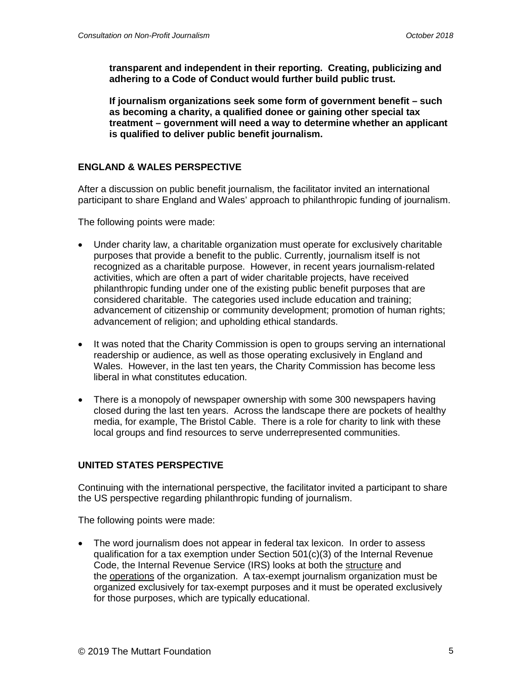**transparent and independent in their reporting. Creating, publicizing and adhering to a Code of Conduct would further build public trust.**

**If journalism organizations seek some form of government benefit – such as becoming a charity, a qualified donee or gaining other special tax treatment – government will need a way to determine whether an applicant is qualified to deliver public benefit journalism.**

## **ENGLAND & WALES PERSPECTIVE**

After a discussion on public benefit journalism, the facilitator invited an international participant to share England and Wales' approach to philanthropic funding of journalism.

The following points were made:

- Under charity law, a charitable organization must operate for exclusively charitable purposes that provide a benefit to the public. Currently, journalism itself is not recognized as a charitable purpose. However, in recent years journalism-related activities, which are often a part of wider charitable projects, have received philanthropic funding under one of the existing public benefit purposes that are considered charitable. The categories used include education and training; advancement of citizenship or community development; promotion of human rights; advancement of religion; and upholding ethical standards.
- It was noted that the Charity Commission is open to groups serving an international readership or audience, as well as those operating exclusively in England and Wales. However, in the last ten years, the Charity Commission has become less liberal in what constitutes education.
- There is a monopoly of newspaper ownership with some 300 newspapers having closed during the last ten years. Across the landscape there are pockets of healthy media, for example, The Bristol Cable. There is a role for charity to link with these local groups and find resources to serve underrepresented communities.

## **UNITED STATES PERSPECTIVE**

Continuing with the international perspective, the facilitator invited a participant to share the US perspective regarding philanthropic funding of journalism.

The following points were made:

• The word journalism does not appear in federal tax lexicon. In order to assess qualification for a tax exemption under Section 501(c)(3) of the Internal Revenue Code, the Internal Revenue Service (IRS) looks at both the structure and the operations of the organization. A tax-exempt journalism organization must be organized exclusively for tax-exempt purposes and it must be operated exclusively for those purposes, which are typically educational.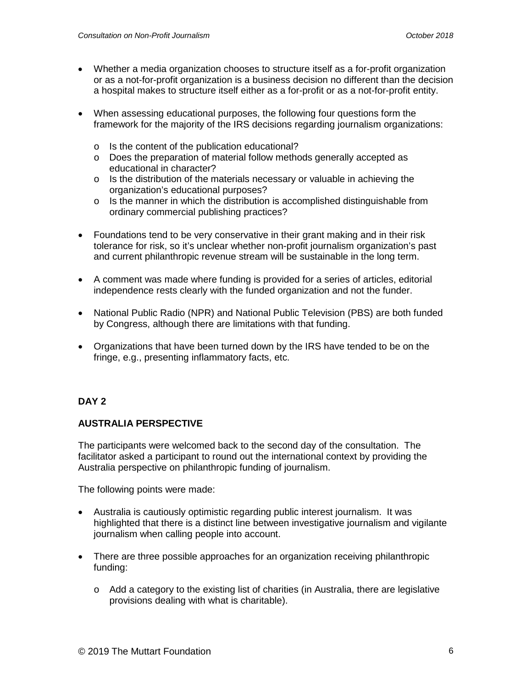- Whether a media organization chooses to structure itself as a for-profit organization or as a not-for-profit organization is a business decision no different than the decision a hospital makes to structure itself either as a for-profit or as a not-for-profit entity.
- When assessing educational purposes, the following four questions form the framework for the majority of the IRS decisions regarding journalism organizations:
	- o Is the content of the publication educational?
	- o Does the preparation of material follow methods generally accepted as educational in character?
	- o Is the distribution of the materials necessary or valuable in achieving the organization's educational purposes?
	- o Is the manner in which the distribution is accomplished distinguishable from ordinary commercial publishing practices?
- Foundations tend to be very conservative in their grant making and in their risk tolerance for risk, so it's unclear whether non-profit journalism organization's past and current philanthropic revenue stream will be sustainable in the long term.
- A comment was made where funding is provided for a series of articles, editorial independence rests clearly with the funded organization and not the funder.
- National Public Radio (NPR) and National Public Television (PBS) are both funded by Congress, although there are limitations with that funding.
- Organizations that have been turned down by the IRS have tended to be on the fringe, e.g., presenting inflammatory facts, etc.

# **DAY 2**

## **AUSTRALIA PERSPECTIVE**

The participants were welcomed back to the second day of the consultation. The facilitator asked a participant to round out the international context by providing the Australia perspective on philanthropic funding of journalism.

The following points were made:

- Australia is cautiously optimistic regarding public interest journalism. It was highlighted that there is a distinct line between investigative journalism and vigilante journalism when calling people into account.
- There are three possible approaches for an organization receiving philanthropic funding:
	- $\circ$  Add a category to the existing list of charities (in Australia, there are legislative provisions dealing with what is charitable).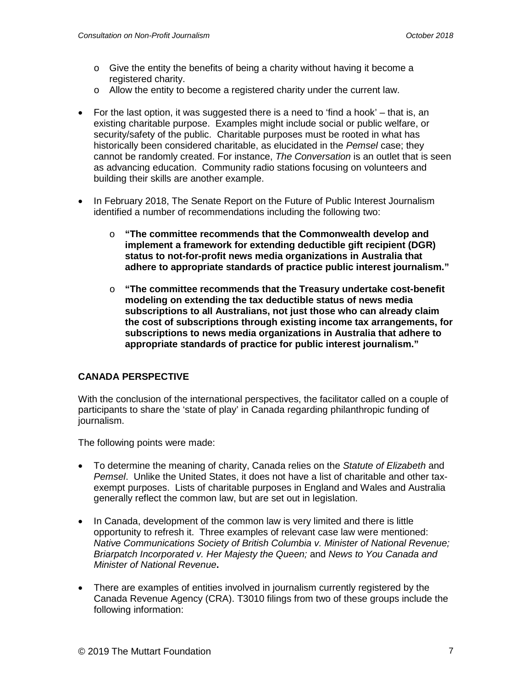- o Give the entity the benefits of being a charity without having it become a registered charity.
- $\circ$  Allow the entity to become a registered charity under the current law.
- For the last option, it was suggested there is a need to 'find a hook' that is, an existing charitable purpose. Examples might include social or public welfare, or security/safety of the public. Charitable purposes must be rooted in what has historically been considered charitable, as elucidated in the *Pemsel* case; they cannot be randomly created. For instance, *The Conversation* is an outlet that is seen as advancing education. Community radio stations focusing on volunteers and building their skills are another example.
- In February 2018, The Senate Report on the Future of Public Interest Journalism identified a number of recommendations including the following two:
	- o **"The committee recommends that the Commonwealth develop and implement a framework for extending deductible gift recipient (DGR) status to not-for-profit news media organizations in Australia that adhere to appropriate standards of practice public interest journalism."**
	- o **"The committee recommends that the Treasury undertake cost-benefit modeling on extending the tax deductible status of news media subscriptions to all Australians, not just those who can already claim the cost of subscriptions through existing income tax arrangements, for subscriptions to news media organizations in Australia that adhere to appropriate standards of practice for public interest journalism."**

## **CANADA PERSPECTIVE**

With the conclusion of the international perspectives, the facilitator called on a couple of participants to share the 'state of play' in Canada regarding philanthropic funding of journalism.

The following points were made:

- To determine the meaning of charity, Canada relies on the *Statute of Elizabeth* and *Pemsel*. Unlike the United States, it does not have a list of charitable and other taxexempt purposes. Lists of charitable purposes in England and Wales and Australia generally reflect the common law, but are set out in legislation.
- In Canada, development of the common law is very limited and there is little opportunity to refresh it. Three examples of relevant case law were mentioned: *Native Communications Society of British Columbia v. Minister of National Revenue; Briarpatch Incorporated v. Her Majesty the Queen;* and *News to You Canada and Minister of National Revenue***.**
- There are examples of entities involved in journalism currently registered by the Canada Revenue Agency (CRA). T3010 filings from two of these groups include the following information: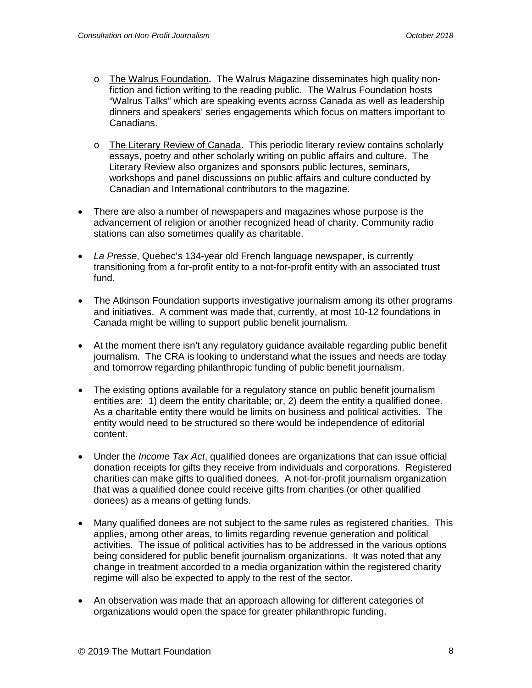- o The Walrus Foundation**.** The Walrus Magazine disseminates high quality nonfiction and fiction writing to the reading public. The Walrus Foundation hosts "Walrus Talks" which are speaking events across Canada as well as leadership dinners and speakers' series engagements which focus on matters important to Canadians.
- o The Literary Review of Canada. This periodic literary review contains scholarly essays, poetry and other scholarly writing on public affairs and culture. The Literary Review also organizes and sponsors public lectures, seminars, workshops and panel discussions on public affairs and culture conducted by Canadian and International contributors to the magazine.
- There are also a number of newspapers and magazines whose purpose is the advancement of religion or another recognized head of charity. Community radio stations can also sometimes qualify as charitable.
- *La Presse*, Quebec's 134-year old French language newspaper, is currently transitioning from a for-profit entity to a not-for-profit entity with an associated trust fund.
- The Atkinson Foundation supports investigative journalism among its other programs and initiatives. A comment was made that, currently, at most 10-12 foundations in Canada might be willing to support public benefit journalism.
- At the moment there isn't any regulatory guidance available regarding public benefit journalism. The CRA is looking to understand what the issues and needs are today and tomorrow regarding philanthropic funding of public benefit journalism.
- The existing options available for a regulatory stance on public benefit journalism entities are: 1) deem the entity charitable; or, 2) deem the entity a qualified donee. As a charitable entity there would be limits on business and political activities. The entity would need to be structured so there would be independence of editorial content.
- Under the *Income Tax Act*, qualified donees are organizations that can issue official donation receipts for gifts they receive from individuals and corporations. Registered charities can make gifts to qualified donees. A not-for-profit journalism organization that was a qualified donee could receive gifts from charities (or other qualified donees) as a means of getting funds.
- Many qualified donees are not subject to the same rules as registered charities. This applies, among other areas, to limits regarding revenue generation and political activities. The issue of political activities has to be addressed in the various options being considered for public benefit journalism organizations. It was noted that any change in treatment accorded to a media organization within the registered charity regime will also be expected to apply to the rest of the sector.
- An observation was made that an approach allowing for different categories of organizations would open the space for greater philanthropic funding.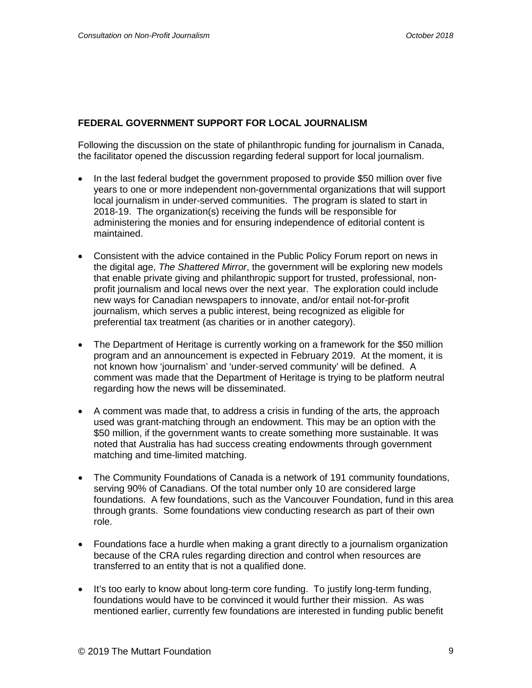## **FEDERAL GOVERNMENT SUPPORT FOR LOCAL JOURNALISM**

Following the discussion on the state of philanthropic funding for journalism in Canada, the facilitator opened the discussion regarding federal support for local journalism.

- In the last federal budget the government proposed to provide \$50 million over five years to one or more independent non-governmental organizations that will support local journalism in under-served communities. The program is slated to start in 2018-19. The organization(s) receiving the funds will be responsible for administering the monies and for ensuring independence of editorial content is maintained.
- Consistent with the advice contained in the Public Policy Forum report on news in the digital age, *The Shattered Mirror*, the government will be exploring new models that enable private giving and philanthropic support for trusted, professional, nonprofit journalism and local news over the next year. The exploration could include new ways for Canadian newspapers to innovate, and/or entail not-for-profit journalism, which serves a public interest, being recognized as eligible for preferential tax treatment (as charities or in another category).
- The Department of Heritage is currently working on a framework for the \$50 million program and an announcement is expected in February 2019. At the moment, it is not known how 'journalism' and 'under-served community' will be defined. A comment was made that the Department of Heritage is trying to be platform neutral regarding how the news will be disseminated.
- A comment was made that, to address a crisis in funding of the arts, the approach used was grant-matching through an endowment. This may be an option with the \$50 million, if the government wants to create something more sustainable. It was noted that Australia has had success creating endowments through government matching and time-limited matching.
- The Community Foundations of Canada is a network of 191 community foundations, serving 90% of Canadians. Of the total number only 10 are considered large foundations. A few foundations, such as the Vancouver Foundation, fund in this area through grants. Some foundations view conducting research as part of their own role.
- Foundations face a hurdle when making a grant directly to a journalism organization because of the CRA rules regarding direction and control when resources are transferred to an entity that is not a qualified done.
- It's too early to know about long-term core funding. To justify long-term funding, foundations would have to be convinced it would further their mission. As was mentioned earlier, currently few foundations are interested in funding public benefit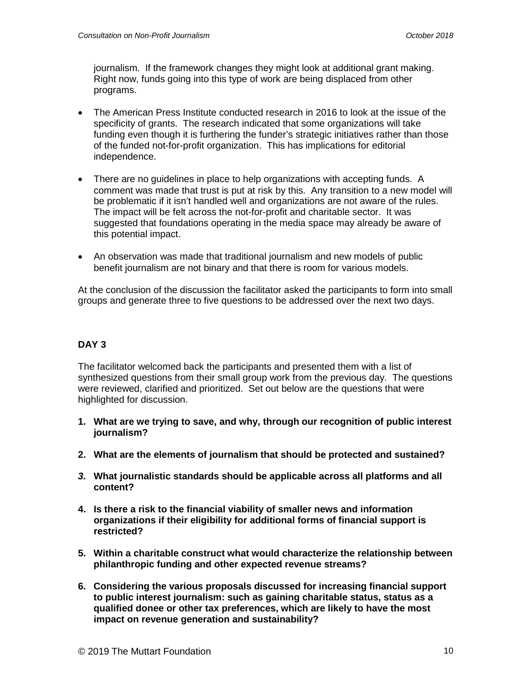journalism. If the framework changes they might look at additional grant making. Right now, funds going into this type of work are being displaced from other programs.

- The American Press Institute conducted research in 2016 to look at the issue of the specificity of grants. The research indicated that some organizations will take funding even though it is furthering the funder's strategic initiatives rather than those of the funded not-for-profit organization. This has implications for editorial independence.
- There are no quidelines in place to help organizations with accepting funds. A comment was made that trust is put at risk by this. Any transition to a new model will be problematic if it isn't handled well and organizations are not aware of the rules. The impact will be felt across the not-for-profit and charitable sector. It was suggested that foundations operating in the media space may already be aware of this potential impact.
- An observation was made that traditional journalism and new models of public benefit journalism are not binary and that there is room for various models.

At the conclusion of the discussion the facilitator asked the participants to form into small groups and generate three to five questions to be addressed over the next two days.

# **DAY 3**

The facilitator welcomed back the participants and presented them with a list of synthesized questions from their small group work from the previous day. The questions were reviewed, clarified and prioritized. Set out below are the questions that were highlighted for discussion.

- **1. What are we trying to save, and why, through our recognition of public interest journalism?**
- **2. What are the elements of journalism that should be protected and sustained?**
- *3.* **What journalistic standards should be applicable across all platforms and all content?**
- **4. Is there a risk to the financial viability of smaller news and information organizations if their eligibility for additional forms of financial support is restricted?**
- **5. Within a charitable construct what would characterize the relationship between philanthropic funding and other expected revenue streams?**
- **6. Considering the various proposals discussed for increasing financial support to public interest journalism: such as gaining charitable status, status as a qualified donee or other tax preferences, which are likely to have the most impact on revenue generation and sustainability?**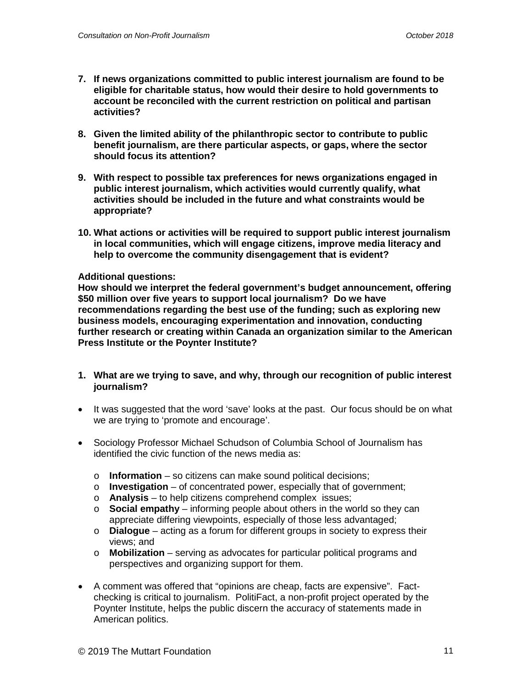- **7. If news organizations committed to public interest journalism are found to be eligible for charitable status, how would their desire to hold governments to account be reconciled with the current restriction on political and partisan activities?**
- **8. Given the limited ability of the philanthropic sector to contribute to public benefit journalism, are there particular aspects, or gaps, where the sector should focus its attention?**
- **9. With respect to possible tax preferences for news organizations engaged in public interest journalism, which activities would currently qualify, what activities should be included in the future and what constraints would be appropriate?**
- **10. What actions or activities will be required to support public interest journalism in local communities, which will engage citizens, improve media literacy and help to overcome the community disengagement that is evident?**

### **Additional questions:**

**How should we interpret the federal government's budget announcement, offering \$50 million over five years to support local journalism? Do we have recommendations regarding the best use of the funding; such as exploring new business models, encouraging experimentation and innovation, conducting further research or creating within Canada an organization similar to the American Press Institute or the Poynter Institute?**

- **1. What are we trying to save, and why, through our recognition of public interest journalism?**
- It was suggested that the word 'save' looks at the past. Our focus should be on what we are trying to 'promote and encourage'.
- Sociology Professor Michael Schudson of Columbia School of Journalism has identified the civic function of the news media as:
	- o **Information** so citizens can make sound political decisions;
	- o **Investigation** of concentrated power, especially that of government;
	- o **Analysis** to help citizens comprehend complex issues;
	- o **Social empathy** informing people about others in the world so they can appreciate differing viewpoints, especially of those less advantaged;
	- o **Dialogue** acting as a forum for different groups in society to express their views; and
	- o **Mobilization** serving as advocates for particular political programs and perspectives and organizing support for them.
- A comment was offered that "opinions are cheap, facts are expensive". Factchecking is critical to journalism. PolitiFact, a non-profit project operated by the Poynter Institute, helps the public discern the accuracy of statements made in American politics.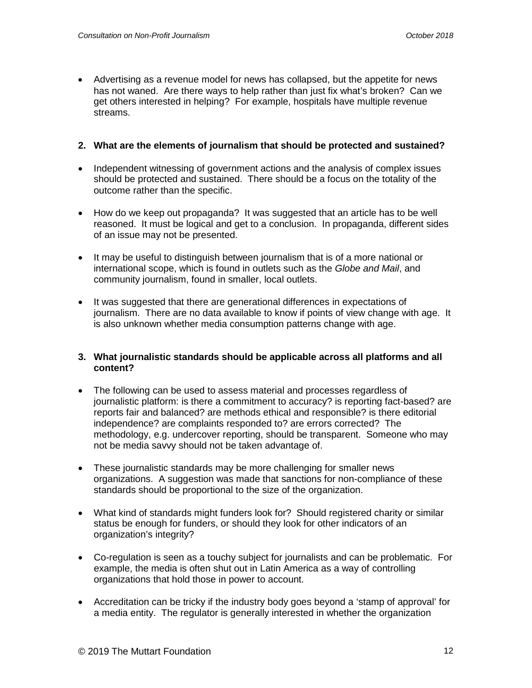• Advertising as a revenue model for news has collapsed, but the appetite for news has not waned. Are there ways to help rather than just fix what's broken? Can we get others interested in helping? For example, hospitals have multiple revenue streams.

## **2. What are the elements of journalism that should be protected and sustained?**

- Independent witnessing of government actions and the analysis of complex issues should be protected and sustained. There should be a focus on the totality of the outcome rather than the specific.
- How do we keep out propaganda? It was suggested that an article has to be well reasoned. It must be logical and get to a conclusion. In propaganda, different sides of an issue may not be presented.
- It may be useful to distinguish between journalism that is of a more national or international scope, which is found in outlets such as the *Globe and Mail*, and community journalism, found in smaller, local outlets.
- It was suggested that there are generational differences in expectations of journalism. There are no data available to know if points of view change with age. It is also unknown whether media consumption patterns change with age.

### **3. What journalistic standards should be applicable across all platforms and all content?**

- The following can be used to assess material and processes regardless of journalistic platform: is there a commitment to accuracy? is reporting fact-based? are reports fair and balanced? are methods ethical and responsible? is there editorial independence? are complaints responded to? are errors corrected? The methodology, e.g. undercover reporting, should be transparent. Someone who may not be media savvy should not be taken advantage of.
- These journalistic standards may be more challenging for smaller news organizations. A suggestion was made that sanctions for non-compliance of these standards should be proportional to the size of the organization.
- What kind of standards might funders look for? Should registered charity or similar status be enough for funders, or should they look for other indicators of an organization's integrity?
- Co-regulation is seen as a touchy subject for journalists and can be problematic. For example, the media is often shut out in Latin America as a way of controlling organizations that hold those in power to account.
- Accreditation can be tricky if the industry body goes beyond a 'stamp of approval' for a media entity. The regulator is generally interested in whether the organization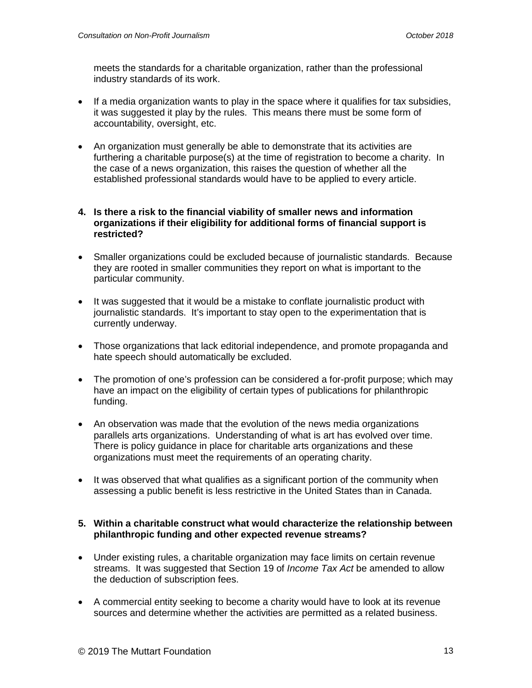meets the standards for a charitable organization, rather than the professional industry standards of its work.

- If a media organization wants to play in the space where it qualifies for tax subsidies, it was suggested it play by the rules. This means there must be some form of accountability, oversight, etc.
- An organization must generally be able to demonstrate that its activities are furthering a charitable purpose(s) at the time of registration to become a charity. In the case of a news organization, this raises the question of whether all the established professional standards would have to be applied to every article.

#### **4. Is there a risk to the financial viability of smaller news and information organizations if their eligibility for additional forms of financial support is restricted?**

- Smaller organizations could be excluded because of journalistic standards. Because they are rooted in smaller communities they report on what is important to the particular community.
- It was suggested that it would be a mistake to conflate journalistic product with journalistic standards. It's important to stay open to the experimentation that is currently underway.
- Those organizations that lack editorial independence, and promote propaganda and hate speech should automatically be excluded.
- The promotion of one's profession can be considered a for-profit purpose; which may have an impact on the eligibility of certain types of publications for philanthropic funding.
- An observation was made that the evolution of the news media organizations parallels arts organizations. Understanding of what is art has evolved over time. There is policy guidance in place for charitable arts organizations and these organizations must meet the requirements of an operating charity.
- It was observed that what qualifies as a significant portion of the community when assessing a public benefit is less restrictive in the United States than in Canada.

### **5. Within a charitable construct what would characterize the relationship between philanthropic funding and other expected revenue streams?**

- Under existing rules, a charitable organization may face limits on certain revenue streams. It was suggested that Section 19 of *Income Tax Act* be amended to allow the deduction of subscription fees.
- A commercial entity seeking to become a charity would have to look at its revenue sources and determine whether the activities are permitted as a related business.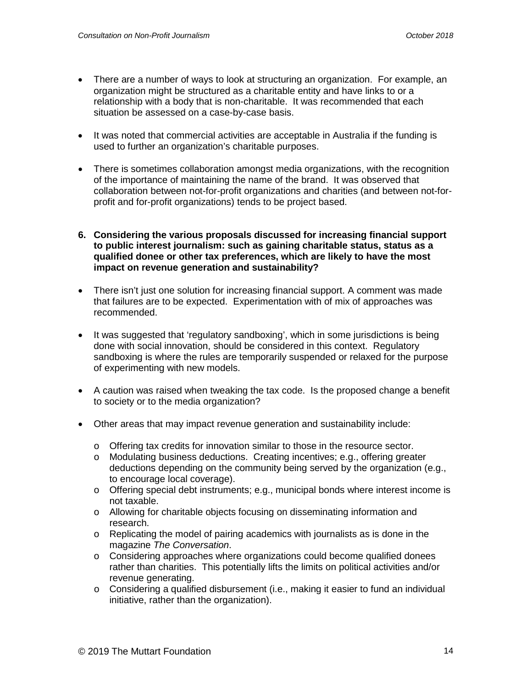- There are a number of ways to look at structuring an organization. For example, an organization might be structured as a charitable entity and have links to or a relationship with a body that is non-charitable. It was recommended that each situation be assessed on a case-by-case basis.
- It was noted that commercial activities are acceptable in Australia if the funding is used to further an organization's charitable purposes.
- There is sometimes collaboration amongst media organizations, with the recognition of the importance of maintaining the name of the brand. It was observed that collaboration between not-for-profit organizations and charities (and between not-forprofit and for-profit organizations) tends to be project based.
- **6. Considering the various proposals discussed for increasing financial support to public interest journalism: such as gaining charitable status, status as a qualified donee or other tax preferences, which are likely to have the most impact on revenue generation and sustainability?**
- There isn't just one solution for increasing financial support. A comment was made that failures are to be expected. Experimentation with of mix of approaches was recommended.
- It was suggested that 'regulatory sandboxing', which in some jurisdictions is being done with social innovation, should be considered in this context. Regulatory sandboxing is where the rules are temporarily suspended or relaxed for the purpose of experimenting with new models.
- A caution was raised when tweaking the tax code. Is the proposed change a benefit to society or to the media organization?
- Other areas that may impact revenue generation and sustainability include:
	- o Offering tax credits for innovation similar to those in the resource sector.
	- o Modulating business deductions. Creating incentives; e.g., offering greater deductions depending on the community being served by the organization (e.g., to encourage local coverage).
	- $\circ$  Offering special debt instruments; e.g., municipal bonds where interest income is not taxable.
	- o Allowing for charitable objects focusing on disseminating information and research.
	- o Replicating the model of pairing academics with journalists as is done in the magazine *The Conversation*.
	- $\circ$  Considering approaches where organizations could become qualified donees rather than charities. This potentially lifts the limits on political activities and/or revenue generating.
	- $\circ$  Considering a qualified disbursement (i.e., making it easier to fund an individual initiative, rather than the organization).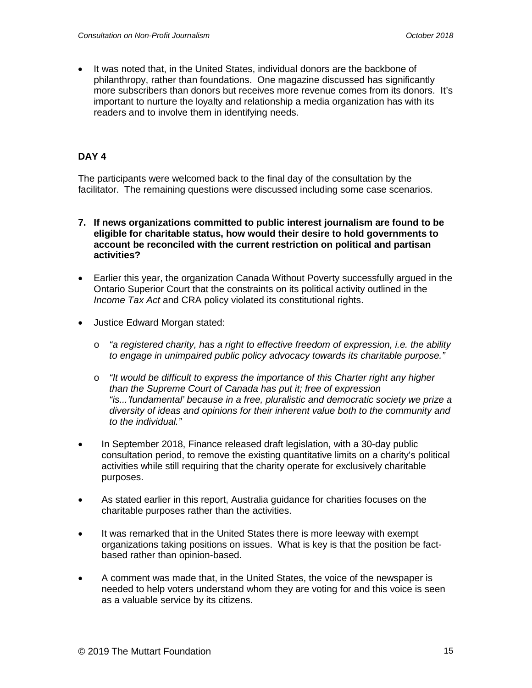• It was noted that, in the United States, individual donors are the backbone of philanthropy, rather than foundations. One magazine discussed has significantly more subscribers than donors but receives more revenue comes from its donors. It's important to nurture the loyalty and relationship a media organization has with its readers and to involve them in identifying needs.

# **DAY 4**

The participants were welcomed back to the final day of the consultation by the facilitator. The remaining questions were discussed including some case scenarios.

- **7. If news organizations committed to public interest journalism are found to be eligible for charitable status, how would their desire to hold governments to account be reconciled with the current restriction on political and partisan activities?**
- Earlier this year, the organization Canada Without Poverty successfully argued in the Ontario Superior Court that the constraints on its political activity outlined in the *Income Tax Act* and CRA policy violated its constitutional rights.
- Justice Edward Morgan stated:
	- o *"a registered charity, has a right to effective freedom of expression, i.e. the ability to engage in unimpaired public policy advocacy towards its charitable purpose."*
	- o *"It would be difficult to express the importance of this Charter right any higher than the Supreme Court of Canada has put it; free of expression "is...'fundamental' because in a free, pluralistic and democratic society we prize a diversity of ideas and opinions for their inherent value both to the community and to the individual."*
- In September 2018, Finance released draft legislation, with a 30-day public consultation period, to remove the existing quantitative limits on a charity's political activities while still requiring that the charity operate for exclusively charitable purposes.
- As stated earlier in this report, Australia guidance for charities focuses on the charitable purposes rather than the activities.
- It was remarked that in the United States there is more leeway with exempt organizations taking positions on issues. What is key is that the position be factbased rather than opinion-based.
- A comment was made that, in the United States, the voice of the newspaper is needed to help voters understand whom they are voting for and this voice is seen as a valuable service by its citizens.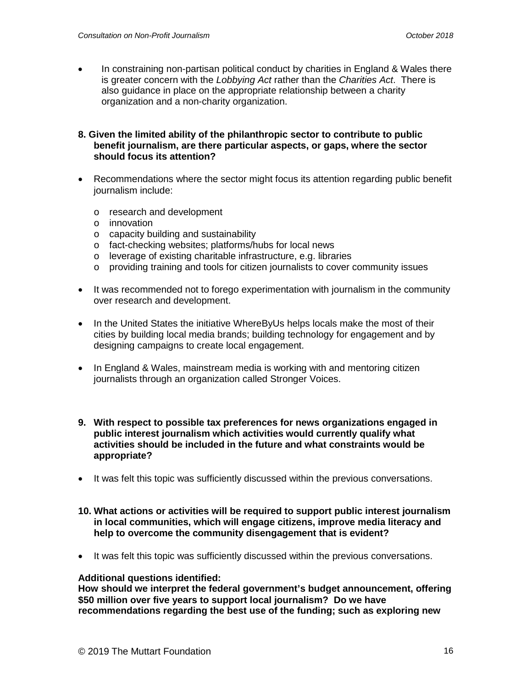• In constraining non-partisan political conduct by charities in England & Wales there is greater concern with the *Lobbying Act* rather than the *Charities Act*. There is also guidance in place on the appropriate relationship between a charity organization and a non-charity organization.

#### **8. Given the limited ability of the philanthropic sector to contribute to public benefit journalism, are there particular aspects, or gaps, where the sector should focus its attention?**

- Recommendations where the sector might focus its attention regarding public benefit journalism include:
	- o research and development
	- o innovation
	- o capacity building and sustainability
	- o fact-checking websites; platforms/hubs for local news
	- o leverage of existing charitable infrastructure, e.g. libraries
	- o providing training and tools for citizen journalists to cover community issues
- It was recommended not to forego experimentation with journalism in the community over research and development.
- In the United States the initiative WhereByUs helps locals make the most of their cities by building local media brands; building technology for engagement and by designing campaigns to create local engagement.
- In England & Wales, mainstream media is working with and mentoring citizen journalists through an organization called Stronger Voices.
- **9. With respect to possible tax preferences for news organizations engaged in public interest journalism which activities would currently qualify what activities should be included in the future and what constraints would be appropriate?**
- It was felt this topic was sufficiently discussed within the previous conversations.
- **10. What actions or activities will be required to support public interest journalism in local communities, which will engage citizens, improve media literacy and help to overcome the community disengagement that is evident?**
- It was felt this topic was sufficiently discussed within the previous conversations.

#### **Additional questions identified:**

**How should we interpret the federal government's budget announcement, offering \$50 million over five years to support local journalism? Do we have recommendations regarding the best use of the funding; such as exploring new**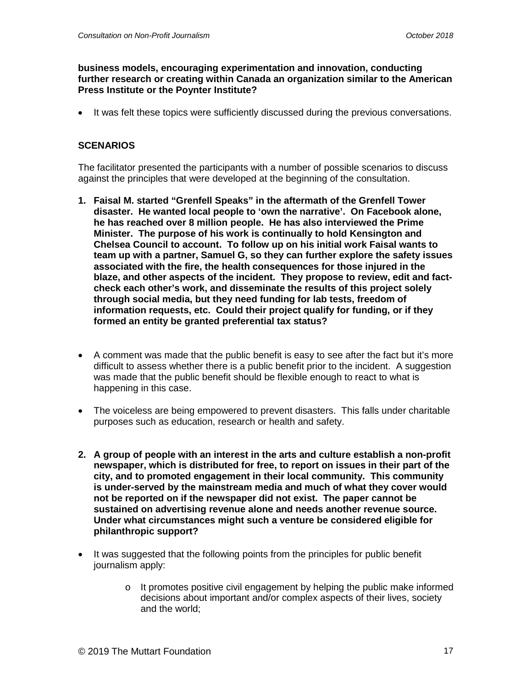### **business models, encouraging experimentation and innovation, conducting further research or creating within Canada an organization similar to the American Press Institute or the Poynter Institute?**

• It was felt these topics were sufficiently discussed during the previous conversations.

# **SCENARIOS**

The facilitator presented the participants with a number of possible scenarios to discuss against the principles that were developed at the beginning of the consultation.

- **1. Faisal M. started "Grenfell Speaks" in the aftermath of the Grenfell Tower disaster. He wanted local people to 'own the narrative'. On Facebook alone, he has reached over 8 million people. He has also interviewed the Prime Minister. The purpose of his work is continually to hold Kensington and Chelsea Council to account. To follow up on his initial work Faisal wants to team up with a partner, Samuel G, so they can further explore the safety issues associated with the fire, the health consequences for those injured in the blaze, and other aspects of the incident. They propose to review, edit and factcheck each other's work, and disseminate the results of this project solely through social media, but they need funding for lab tests, freedom of information requests, etc. Could their project qualify for funding, or if they formed an entity be granted preferential tax status?**
- A comment was made that the public benefit is easy to see after the fact but it's more difficult to assess whether there is a public benefit prior to the incident. A suggestion was made that the public benefit should be flexible enough to react to what is happening in this case.
- The voiceless are being empowered to prevent disasters. This falls under charitable purposes such as education, research or health and safety.
- **2. A group of people with an interest in the arts and culture establish a non-profit newspaper, which is distributed for free, to report on issues in their part of the city, and to promoted engagement in their local community. This community is under-served by the mainstream media and much of what they cover would not be reported on if the newspaper did not exist. The paper cannot be sustained on advertising revenue alone and needs another revenue source. Under what circumstances might such a venture be considered eligible for philanthropic support?**
- It was suggested that the following points from the principles for public benefit journalism apply:
	- $\circ$  It promotes positive civil engagement by helping the public make informed decisions about important and/or complex aspects of their lives, society and the world;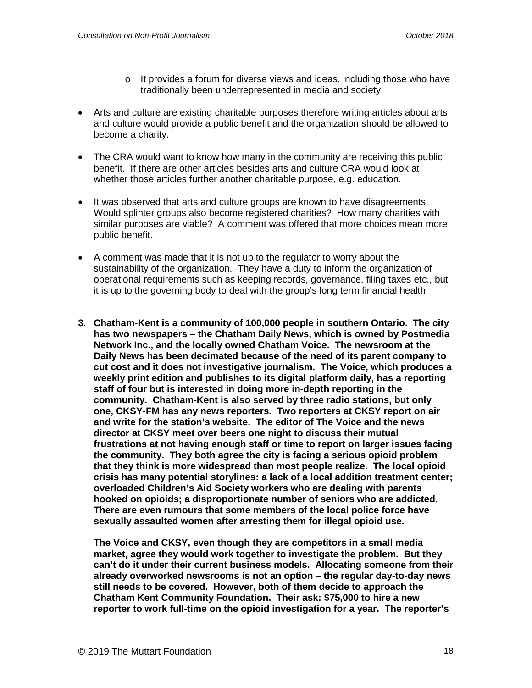- $\circ$  It provides a forum for diverse views and ideas, including those who have traditionally been underrepresented in media and society.
- Arts and culture are existing charitable purposes therefore writing articles about arts and culture would provide a public benefit and the organization should be allowed to become a charity.
- The CRA would want to know how many in the community are receiving this public benefit. If there are other articles besides arts and culture CRA would look at whether those articles further another charitable purpose, e.g. education.
- It was observed that arts and culture groups are known to have disagreements. Would splinter groups also become registered charities? How many charities with similar purposes are viable? A comment was offered that more choices mean more public benefit.
- A comment was made that it is not up to the regulator to worry about the sustainability of the organization. They have a duty to inform the organization of operational requirements such as keeping records, governance, filing taxes etc., but it is up to the governing body to deal with the group's long term financial health.
- **3. Chatham-Kent is a community of 100,000 people in southern Ontario. The city has two newspapers – the Chatham Daily News, which is owned by Postmedia Network Inc., and the locally owned Chatham Voice. The newsroom at the Daily News has been decimated because of the need of its parent company to cut cost and it does not investigative journalism. The Voice, which produces a weekly print edition and publishes to its digital platform daily, has a reporting staff of four but is interested in doing more in-depth reporting in the community. Chatham-Kent is also served by three radio stations, but only one, CKSY-FM has any news reporters. Two reporters at CKSY report on air and write for the station's website. The editor of The Voice and the news director at CKSY meet over beers one night to discuss their mutual frustrations at not having enough staff or time to report on larger issues facing the community. They both agree the city is facing a serious opioid problem that they think is more widespread than most people realize. The local opioid crisis has many potential storylines: a lack of a local addition treatment center; overloaded Children's Aid Society workers who are dealing with parents hooked on opioids; a disproportionate number of seniors who are addicted. There are even rumours that some members of the local police force have sexually assaulted women after arresting them for illegal opioid use.**

**The Voice and CKSY, even though they are competitors in a small media market, agree they would work together to investigate the problem. But they can't do it under their current business models. Allocating someone from their already overworked newsrooms is not an option – the regular day-to-day news still needs to be covered. However, both of them decide to approach the Chatham Kent Community Foundation. Their ask: \$75,000 to hire a new reporter to work full-time on the opioid investigation for a year. The reporter's**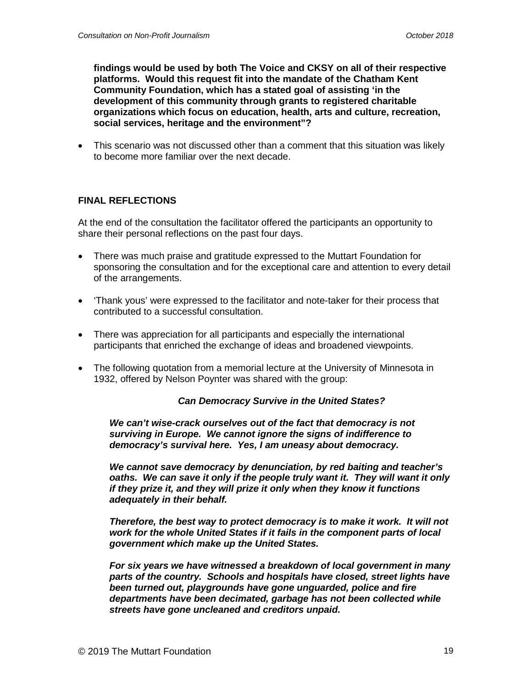**findings would be used by both The Voice and CKSY on all of their respective platforms. Would this request fit into the mandate of the Chatham Kent Community Foundation, which has a stated goal of assisting 'in the development of this community through grants to registered charitable organizations which focus on education, health, arts and culture, recreation, social services, heritage and the environment"?** 

• This scenario was not discussed other than a comment that this situation was likely to become more familiar over the next decade.

## **FINAL REFLECTIONS**

At the end of the consultation the facilitator offered the participants an opportunity to share their personal reflections on the past four days.

- There was much praise and gratitude expressed to the Muttart Foundation for sponsoring the consultation and for the exceptional care and attention to every detail of the arrangements.
- 'Thank yous' were expressed to the facilitator and note-taker for their process that contributed to a successful consultation.
- There was appreciation for all participants and especially the international participants that enriched the exchange of ideas and broadened viewpoints.
- The following quotation from a memorial lecture at the University of Minnesota in 1932, offered by Nelson Poynter was shared with the group:

#### *Can Democracy Survive in the United States?*

*We can't wise-crack ourselves out of the fact that democracy is not surviving in Europe. We cannot ignore the signs of indifference to democracy's survival here. Yes, I am uneasy about democracy.*

*We cannot save democracy by denunciation, by red baiting and teacher's oaths. We can save it only if the people truly want it. They will want it only if they prize it, and they will prize it only when they know it functions adequately in their behalf.*

*Therefore, the best way to protect democracy is to make it work. It will not work for the whole United States if it fails in the component parts of local government which make up the United States.*

*For six years we have witnessed a breakdown of local government in many parts of the country. Schools and hospitals have closed, street lights have been turned out, playgrounds have gone unguarded, police and fire departments have been decimated, garbage has not been collected while streets have gone uncleaned and creditors unpaid.*